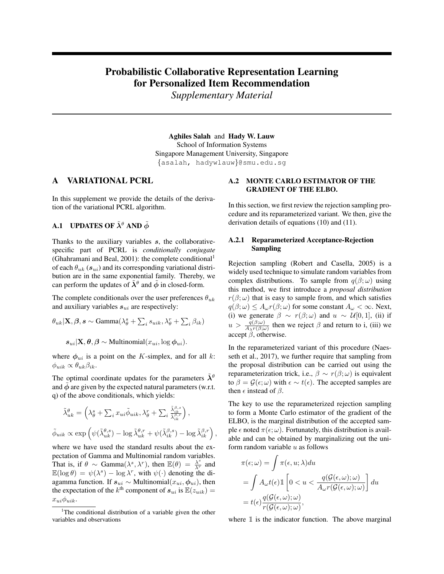# Probabilistic Collaborative Representation Learning for Personalized Item Recommendation

*Supplementary Material*

Aghiles Salah and Hady W. Lauw School of Information Systems Singapore Management University, Singapore {asalah, hadywlauw}@smu.edu.sg

,

# A VARIATIONAL PCRL

In this supplement we provide the details of the derivation of the variational PCRL algorithm.

# **A.1** UPDATES OF  $\tilde{\lambda}^{\theta}$  AND  $\tilde{\phi}$

Thanks to the auxiliary variables s, the collaborativespecific part of PCRL is *conditionally conjugate* (Ghahramani and Beal, 2001): the complete conditional<sup>1</sup> of each  $\theta_{uk}$  ( $s_{ui}$ ) and its corresponding variational distribution are in the same exponential family. Thereby, we can perform the updates of  $\tilde{\lambda}^{\theta}$  and  $\tilde{\phi}$  in closed-form.

The complete conditionals over the user preferences  $\theta_{uk}$ and auxiliary variables  $s_{ui}$  are respectively:

$$
\theta_{uk} | \mathbf{X}, \beta, s \sim \text{Gamma}(\lambda_{\theta}^{s} + \sum_{i} s_{uik}, \lambda_{\theta}^{r} + \sum_{i} \beta_{ik})
$$

$$
s_{ui} | \mathbf{X}, \theta, \beta \sim \text{Multinomial}(x_{ui}, \log \phi_{ui}).
$$

where  $\phi_{ui}$  is a point on the K-simplex, and for all k:  $\phi_{uik} \propto \theta_{uk}\beta_{ik}$ .

The optimal coordinate updates for the parameters  $\tilde{\lambda}^{\theta}$ and  $\phi$  are given by the expected natural parameters (w.r.t. q) of the above conditionals, which yields:

$$
\tilde{\lambda}_{uk}^{\theta} = \left(\lambda_{\theta}^{s} + \sum_{i} x_{ui} \tilde{\phi}_{uik}, \lambda_{\theta}^{r} + \sum_{i} \frac{\tilde{\lambda}_{ik}^{\beta,s}}{\tilde{\lambda}_{ik}^{\beta,r}}\right),
$$
  

$$
\tilde{\phi}_{uik} \propto \exp\left(\psi(\tilde{\lambda}_{uk}^{\theta,s}) - \log \tilde{\lambda}_{uk}^{\theta,r} + \psi(\tilde{\lambda}_{ik}^{\beta,s}) - \log \tilde{\lambda}_{ik}^{\beta,r}\right)
$$

where we have used the standard results about the expectation of Gamma and Multinomial random variables. That is, if  $\theta \sim \text{Gamma}(\lambda^s, \lambda^r)$ , then  $\mathbb{E}(\theta) = \frac{\lambda^s}{\lambda^r}$  and  $\mathbb{E}(\log \theta) = \psi(\lambda^s) - \log \lambda^r$ , with  $\psi(\cdot)$  denoting the diagamma function. If  $s_{ui} \sim$  Multinomial $(x_{ui}, \phi_{ui})$ , then the expectation of the  $k^{\text{th}}$  component of  $s_{ui}$  is  $\mathbb{E}(z_{uik}) =$  $x_{ui}\phi_{uik}$ .

### A.2 MONTE CARLO ESTIMATOR OF THE GRADIENT OF THE ELBO.

In this section, we first review the rejection sampling procedure and its reparameterized variant. We then, give the derivation details of equations (10) and (11).

#### A.2.1 Reparameterized Acceptance-Rejection Sampling

Rejection sampling (Robert and Casella, 2005) is a widely used technique to simulate random variables from complex distributions. To sample from  $q(\beta;\omega)$  using this method, we first introduce a *proposal distribution*  $r(\beta; \omega)$  that is easy to sample from, and which satisfies  $q(\beta; \omega) \leq A_{\omega} r(\beta; \omega)$  for some constant  $A_{\omega} < \infty$ . Next, (i) we generate  $\beta \sim r(\beta; \omega)$  and  $u \sim \mathcal{U}[0, 1]$ , (ii) if  $u > \frac{q(\beta;\omega)}{A_{\lambda}r(\beta;\omega)}$  then we reject  $\beta$  and return to i, (iii) we accept  $\beta$ , otherwise.

In the reparameterized variant of this procedure (Naesseth et al., 2017), we further require that sampling from the proposal distribution can be carried out using the reparameterization trick, i.e.,  $\beta \sim r(\beta; \omega)$  is equivalent to  $\beta = \mathcal{G}(\epsilon; \omega)$  with  $\epsilon \sim t(\epsilon)$ . The accepted samples are then  $\epsilon$  instead of  $\beta$ .

The key to use the reparameterized rejection sampling to form a Monte Carlo estimator of the gradient of the ELBO, is the marginal distribution of the accepted sample  $\epsilon$  noted  $\pi(\epsilon; \omega)$ . Fortunately, this distribution is available and can be obtained by marginalizing out the uniform random variable  $u$  as follows

$$
\pi(\epsilon; \omega) = \int \pi(\epsilon, u; \lambda) du
$$
  
= 
$$
\int A_{\omega} t(\epsilon) \mathbb{1} \left[ 0 < u < \frac{q(\mathcal{G}(\epsilon, \omega); \omega)}{A_{\omega}r(\mathcal{G}(\epsilon, \omega); \omega)} \right] du
$$
  
= 
$$
t(\epsilon) \frac{q(\mathcal{G}(\epsilon, \omega); \omega)}{r(\mathcal{G}(\epsilon, \omega); \omega)},
$$

where  $\mathbbm{1}$  is the indicator function. The above marginal

<sup>&</sup>lt;sup>1</sup>The conditional distribution of a variable given the other variables and observations